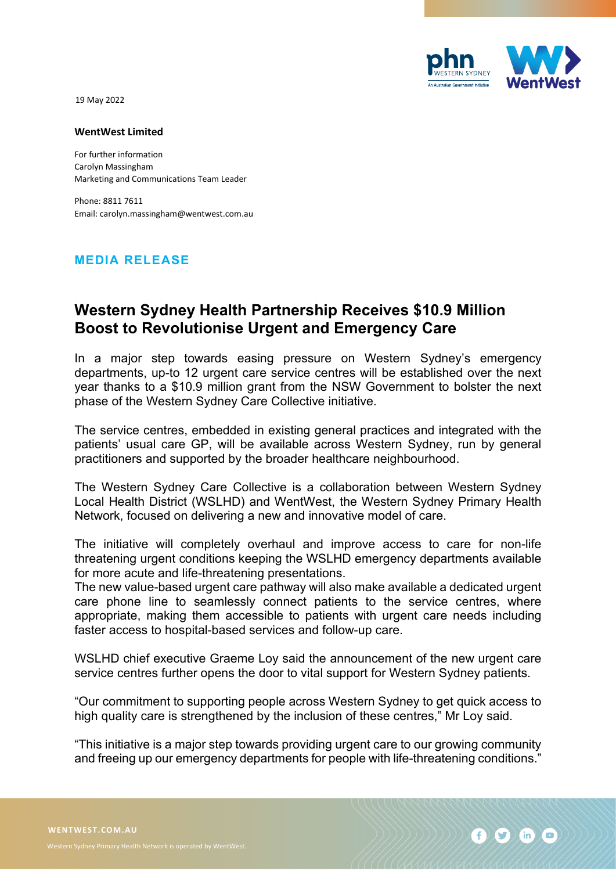

19 May 2022

## **WentWest Limited**

For further information Carolyn Massingham Marketing and Communications Team Leader

Phone: 8811 7611 Email: carolyn.massingham@wentwest.com.au

## **MEDIA RELEASE**

## **Western Sydney Health Partnership Receives \$10.9 Million Boost to Revolutionise Urgent and Emergency Care**

In a major step towards easing pressure on Western Sydney's emergency departments, up-to 12 urgent care service centres will be established over the next year thanks to a \$10.9 million grant from the NSW Government to bolster the next phase of the Western Sydney Care Collective initiative.

The service centres, embedded in existing general practices and integrated with the patients' usual care GP, will be available across Western Sydney, run by general practitioners and supported by the broader healthcare neighbourhood.

The Western Sydney Care Collective is a collaboration between Western Sydney Local Health District (WSLHD) and WentWest, the Western Sydney Primary Health Network, focused on delivering a new and innovative model of care.

The initiative will completely overhaul and improve access to care for non-life threatening urgent conditions keeping the WSLHD emergency departments available for more acute and life-threatening presentations.

The new value-based urgent care pathway will also make available a dedicated urgent care phone line to seamlessly connect patients to the service centres, where appropriate, making them accessible to patients with urgent care needs including faster access to hospital-based services and follow-up care.

WSLHD chief executive Graeme Loy said the announcement of the new urgent care service centres further opens the door to vital support for Western Sydney patients.

"Our commitment to supporting people across Western Sydney to get quick access to high quality care is strengthened by the inclusion of these centres," Mr Loy said.

"This initiative is a major step towards providing urgent care to our growing community and freeing up our emergency departments for people with life-threatening conditions."